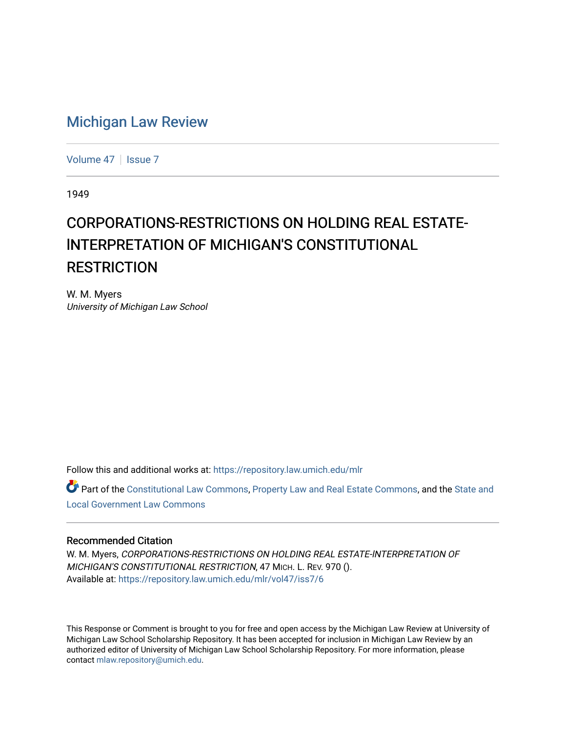# [Michigan Law Review](https://repository.law.umich.edu/mlr)

[Volume 47](https://repository.law.umich.edu/mlr/vol47) | [Issue 7](https://repository.law.umich.edu/mlr/vol47/iss7)

1949

# CORPORATIONS-RESTRICTIONS ON HOLDING REAL ESTATE-INTERPRETATION OF MICHIGAN'S CONSTITUTIONAL **RESTRICTION**

W. M. Myers University of Michigan Law School

Follow this and additional works at: [https://repository.law.umich.edu/mlr](https://repository.law.umich.edu/mlr?utm_source=repository.law.umich.edu%2Fmlr%2Fvol47%2Fiss7%2F6&utm_medium=PDF&utm_campaign=PDFCoverPages) 

Part of the [Constitutional Law Commons,](http://network.bepress.com/hgg/discipline/589?utm_source=repository.law.umich.edu%2Fmlr%2Fvol47%2Fiss7%2F6&utm_medium=PDF&utm_campaign=PDFCoverPages) [Property Law and Real Estate Commons,](http://network.bepress.com/hgg/discipline/897?utm_source=repository.law.umich.edu%2Fmlr%2Fvol47%2Fiss7%2F6&utm_medium=PDF&utm_campaign=PDFCoverPages) and the [State and](http://network.bepress.com/hgg/discipline/879?utm_source=repository.law.umich.edu%2Fmlr%2Fvol47%2Fiss7%2F6&utm_medium=PDF&utm_campaign=PDFCoverPages) [Local Government Law Commons](http://network.bepress.com/hgg/discipline/879?utm_source=repository.law.umich.edu%2Fmlr%2Fvol47%2Fiss7%2F6&utm_medium=PDF&utm_campaign=PDFCoverPages)

# Recommended Citation

W. M. Myers, CORPORATIONS-RESTRICTIONS ON HOLDING REAL ESTATE-lNTERPRETATION OF MICHIGAN'S CONSTITUTIONAL RESTRICTION, 47 MICH. L. REV. 970 (). Available at: [https://repository.law.umich.edu/mlr/vol47/iss7/6](https://repository.law.umich.edu/mlr/vol47/iss7/6?utm_source=repository.law.umich.edu%2Fmlr%2Fvol47%2Fiss7%2F6&utm_medium=PDF&utm_campaign=PDFCoverPages)

This Response or Comment is brought to you for free and open access by the Michigan Law Review at University of Michigan Law School Scholarship Repository. It has been accepted for inclusion in Michigan Law Review by an authorized editor of University of Michigan Law School Scholarship Repository. For more information, please contact [mlaw.repository@umich.edu](mailto:mlaw.repository@umich.edu).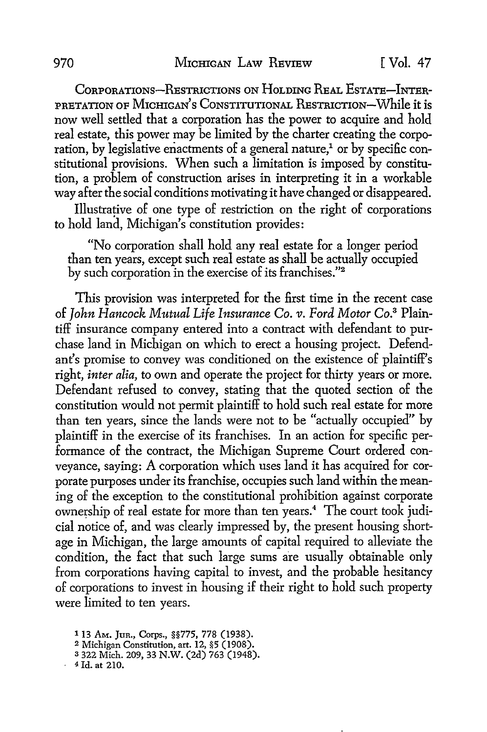CoRPORATIONs-REsTRICTIONS ON HoLDING REAL EsTATE-lNTER-PRETATION OF MrcHIGAN's CONSTITUTIONAL RESTRICTION-While it is now well settled that a corporation has the power to acquire and hold real estate, this power may be limited by the charter creating the corporation, by legislative enactments of a general nature,<sup>1</sup> or by specific constitutional provisions. When such a limitation is imposed by constitution, a problem of construction arises in interpreting it in a workable way after the social conditions motivating it have changed or disappeared.

Illustrative of one type of restriction on the right of corporations to hold land, Michigan's constitution provides:

"No corporation shall hold any real estate for a longer period than ten years, except such real estate as shall be actually occupied by such corporation in the exercise of its franchises."<sup>2</sup>

This provision was interpreted for the first time in the recent case of *John Hancock Mutual Life Insurance Co. v. Ford Motor* Co.3 Plaintiff insurance company entered into a contract with defendant to purchase land in Michigan on which to erect a housing project. Defendant's promise to convey was conditioned on the existence of plaintiff's right, *inter alia,* to own and operate the project for thirty years or more. Defendant refused to convey, stating that the quoted section of the constitution would not permit plaintiff to hold such real estate for more than ten years, since the lands were not to be "actually occupied" by plaintiff in the exercise of its franchises. In an action for specific performance of the contract, the Michigan Supreme Court ordered conveyance, saying: A corporation which uses land it has acquired for corporate purposes under its franchise, occupies such land within the meaning of the exception to the constitutional prohibition against corporate ownership of real estate for more than ten years.<sup>4</sup> The court took judicial notice of, and was clearly impressed by, the present housing shortage in Michigan, the large amounts of capital required to alleviate the condition, the fact that such large sums are usually obtainable only from corporations having capital to invest, and the probable hesitancy of corporations to invest in housing if their right to hold such property were limited to ten years.

a 322 Mich. 209, 33 N.W. (2d) 763 (1948).

<sup>1</sup>13 AM. Jun., Corps., §§775, 778 (1938).

<sup>2</sup> Michigan Constitution, art. 12, §5 (1908).

<sup>4</sup> Id. at 210.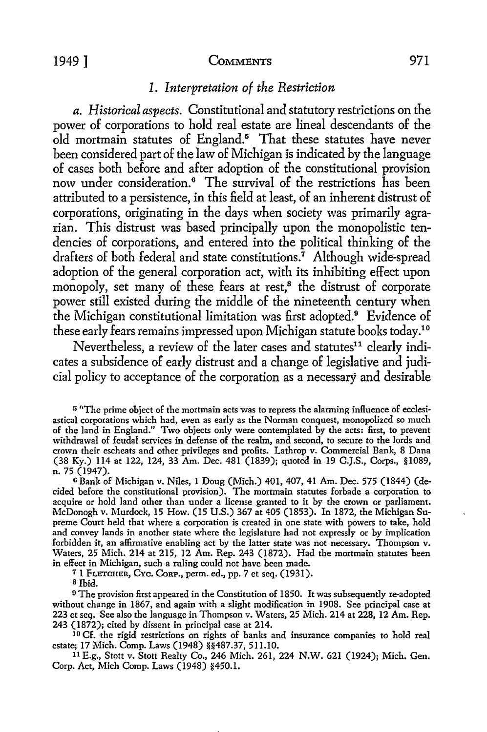#### 1949] COMMENTS 971

# *I. Interpretation of the Restriction*

*a. Historical aspects.* Constitutional and statutory restrictions on the power of corporations to hold real estate are lineal descendants of the old mortmain statutes of England.<sup>5</sup> That these statutes have never been considered part of the law of Michigan is indicated by the language of cases both before and after adoption of the constitutional provision now under consideration.<sup>6</sup> The survival of the restrictions has been attributed to a persistence, in this field at least, of an inherent distrust of corporations, originating in the days when society was primarily agrarian. This distrust was based principally upon the monopolistic tendencies of corporations, and entered into the political thinking of the drafters of both federal and state constitutions.<sup>7</sup> Although wide-spread adoption of the general corporation act, with its inhibiting effect upon monopoly, set many of these fears at rest,<sup>8</sup> the distrust of corporate power still existed during the middle of the nineteenth century when the Michigan constitutional limitation was first adopted.<sup>9</sup> Evidence of these early fears remains impressed upon Michigan statute books today.<sup>10</sup>

Nevertheless, a review of the later cases and statutes<sup>11</sup> clearly indicates a subsidence of early distrust and a change of legislative and judicial policy to acceptance of the corporation as a necessary and desirable

<sup>6</sup> Bank of Michigan v. Niles, 1 Doug (Mich.) 401, 407, 41 Am. Dec. 575 (1844) (decided before the constitutional provision). The rnortrnain statutes forbade a corporation to acquire or hold land other than under a license granted to it by the crown or parliament. McDonogh v. Murdock, 15 How. (15 U.S.) 367 at 405 (1853). In 1872, the Michigan Supreme Court held that where a corporation is created in one state with powers *to* take, hold and convey lands in another state where the legislature had not expressly or by implication forbidden it, an affirmative enabling act by the latter state was not necessary. Thompson v. Waters, 25 Mich. 214 at 215, 12 Am. Rep. 243 (1872). Had the mortmain statutes been in effect in Michigan, such a ruling could not have been made.

7 1 FLETCHER, CYc. CoRP., perm. ed., pp. 7 et seq. (1931).

<sup>8</sup> Ibid.

<sup>9</sup> The provision first appeared in the Constitution of 1850. It was subsequently re-adopted without change in 1867, and again with a slight modification in 1908. See principal case at 223 et seq. See also the language in Thompson v. Waters, 25 Mich. 214 at 228, 12 Am. Rep. 243 (1872); cited by dissent in principal case at 214.

JO Cf. the rigid restrictions on rights of banks and insurance companies to hold real estate; 17 Mich. Comp. Laws (1948) § \$487.37, 511.10.

<sup>11</sup>E.g., Stott v. Stott Realty Co., 246 Mich. 261, 224 N.W. 621 (1924); Mich. Gen. Corp. Act, Mich Comp. Laws (1948) §450.1.

<sup>&</sup>lt;sup>5</sup> "The prime object of the mortmain acts was to repress the alarming influence of ecclesiastical corporations which had, even as early as the Norman conquest, monopolized so much of the land in England." Two objects only were contemplated by the acts: first, to prevent withdrawal of feudal services in defense of the realm, and second, to secure to the lords and crown their escheats and other privileges and profits. Lathrop v. Commercial Bank, 8 Dana (38 Ky.) 114 at 122, 124, 33 Arn. Dec. 481 (1839); quoted in 19 C.J.S., Corps., §1089, n. 75 (1947).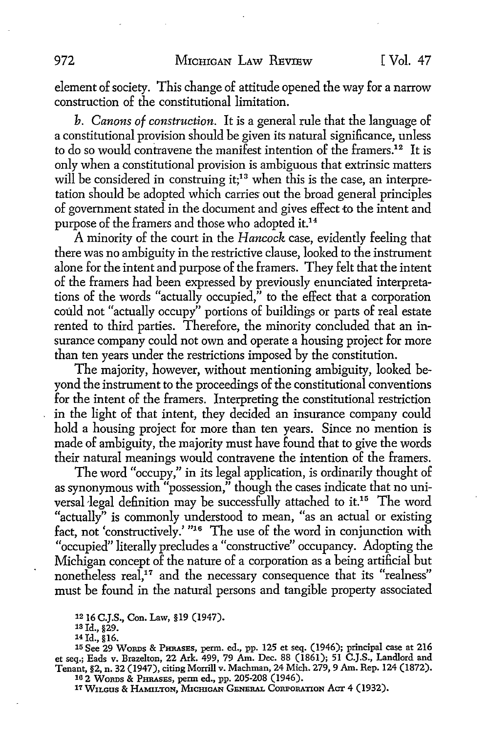element of society. This change of attitude opened the way for a narrow construction of the constitutional limitation.

*b. Canons of construction.* It is a general rule that the language of a constitutional provision should be given its natural significance, unless to do so would contravene the manifest intention of the framers.12 It is only when a constitutional provision is ambiguous that extrinsic matters will be considered in construing it;<sup>13</sup> when this is the case, an interpretation should be adopted which carries out the broad general principles of government stated in the document and gives effect to the intent and purpose of the framers and those who adopted it.<sup>14</sup>

A minority of the court in the *Hancock* case, evidently feeling that there was no ambiguity in the restrictive clause, looked to the instrument alone for the intent and purpose of the framers. They felt that the intent of the framers had been expressed by previously enunciated interpretations of the words "actually occupied," to the effect that a corporation could not "actually occupy" portions of buildings or parts of real estate rented to third parties. Therefore, the minority concluded that an insurance company could not own and operate a housing project for more than ten years under the restrictions imposed by the constitution.

The majority, however, without mentioning ambiguity, looked beyond the instrument to the proceedings of the constitutional conventions for the intent of the framers. Interpreting the constitutional restriction in the light of that intent, they decided an insurance company could hold a housing project for more than ten years. Since no mention is made of ambiguity, the majority must have found that to give the words their natural meanings would contravene the intention of the framers.

The word "occupy," in its legal application, is ordinarily thought of as synonymous with "possession," though the cases indicate that no universal legal definition may be successfully attached to it.<sup>15</sup> The word "actually" is commonly understood to mean, "as an actual or existing fact, not 'constructively.' "<sup>16</sup> The use of the word in conjunction with "occupied" literally precludes a "constructive" occupancy. Adopting the Michigan concept of the nature of a corporation as a being artificial but nonetheless real,<sup>17</sup> and the necessary consequence that its "realness" must be found in the natural persons and tangible property associated

12 16 C.J.S., Con. Law, § 19 (1947).

1s Id., §29.

14 Id., §16.

15 See 29 WoRDs & PHRASES, perm. ed., pp. 125 et seq. (1946); principal case at 216 et seq.; Eads v. Brazelton, 22 Ark. 499, 79 Am. Dec. 88 (1861); 51 C.J.S., Landlord and Tenant, §2, n. 32 (1947), citing Morrill v. Machman, 24 Mich. 279, 9 Am. Rep. 124 (1872). 10 2 WoRDS & PHRASES, perm ed., pp. 205-208 (1946).

*11* W1tcus & HAMILTON, l\.1IcmcAN GENERAL CORPORATION *Acn:* 4 (1932).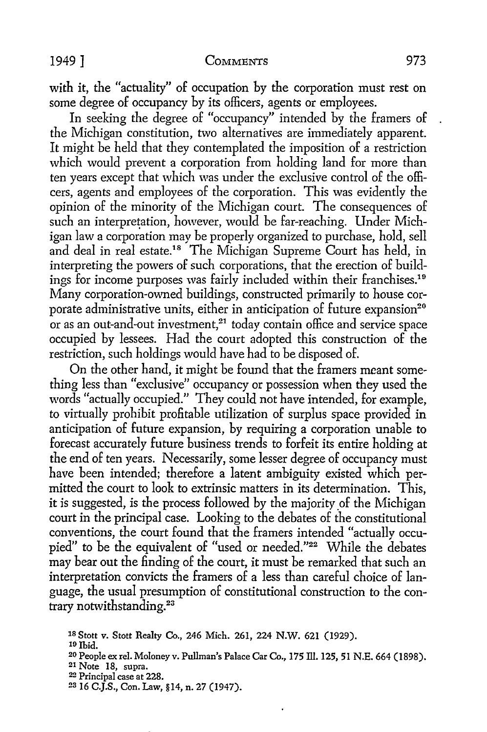with it, the "actuality" of occupation by the corporation must rest on some degree of occupancy by its officers, agents or employees.

In seeking the degree of "occupancy" intended by the framers of the Michigan constitution, two alternatives are immediately apparent. It might be held that they contemplated the imposition of a restriction which would prevent a corporation from holding land for more than ten years except that which was under the exclusive control of the officers, agents and employees of the corporation. This was evidently the opinion of the minority of the Michigan court. The consequences of such an interpretation, however, would be far-reaching. Under Michigan law a corporation may be properly organized to purchase, hold, sell and deal in real estate.18 The Michigan Supreme Court has held, in interpreting the powers of such corporations, that the erection of buildings for income purposes was fairly included within their franchises.19 Many corporation-owned buildings, constructed primarily to house corporate administrative units, either in anticipation of future expansion<sup>20</sup> or as an out-and-out investment,<sup>21</sup> today contain office and service space occupied by lessees. Had the court adopted this construction of the restriction, such holdings would have had to be disposed of.

On the other hand, it might be found that the framers meant something less than "exclusive" occupancy or possession when they used the words "actually occupied." They could not have intended, for example, to virtually prohibit profitable utilization of surplus space provided in anticipation of future expansion, by requiring a corporation unable to forecast accurately future business trends to forfeit its entire holding at the end of ten years. Necessarily, some lesser degree of occupancy must have been intended; therefore a latent ambiguity existed which permitted the court to look to extrinsic matters in its determination. This, it is suggested, is the process followed by the majority of the Michigan court in the principal case. Looking to the debates of the constitutional conventions, the court found that the framers intended "actually occupied" to be the equivalent of "used or needed."22 While the debates may bear out the finding of the court, it must be remarked that such an interpretation convicts the framers of a less than careful choice of language, the usual presumption of constitutional construction to the contrary notwithstanding.<sup>23</sup>

<sup>18</sup> Stott v. Stott Realty Co., 246 Mich. 261, 224 N.W. 621 (1929).<br><sup>19</sup> Ibid.

23 16 C.J.S., Con. Law, §14, n. 27 (1947).

<sup>&</sup>lt;sup>20</sup> People ex rel. Moloney v. Pullman's Palace Car Co., 175 Ill. 125, 51 N.E. 664 (1898).<br><sup>21</sup> Note 18, supra.

<sup>22</sup> Principal case at 228.